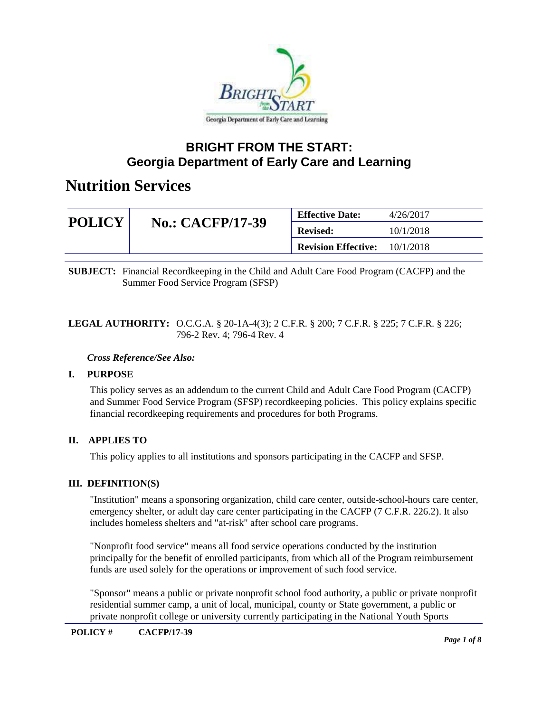

### **BRIGHT FROM THE START: Georgia Department of Early Care and Learning**

### **Nutrition Services**

| <b>POLICY</b> |                         | <b>Effective Date:</b>               | 4/26/2017 |
|---------------|-------------------------|--------------------------------------|-----------|
|               | <b>No.: CACFP/17-39</b> | <b>Revised:</b>                      | 10/1/2018 |
|               |                         | <b>Revision Effective:</b> 10/1/2018 |           |

**SUBJECT:** Financial Recordkeeping in the Child and Adult Care Food Program (CACFP) and the Summer Food Service Program (SFSP)

#### **LEGAL AUTHORITY:** O.C.G.A. § 20-1A-4(3); 2 C.F.R. § 200; 7 C.F.R. § 225; 7 C.F.R. § 226; 796-2 Rev. 4; 796-4 Rev. 4

#### *Cross Reference/See Also:*

#### **I. PURPOSE**

This policy serves as an addendum to the current Child and Adult Care Food Program (CACFP) and Summer Food Service Program (SFSP) recordkeeping policies. This policy explains specific financial recordkeeping requirements and procedures for both Programs.

### **II. APPLIES TO**

This policy applies to all institutions and sponsors participating in the CACFP and SFSP.

#### **III. DEFINITION(S)**

"Institution" means a sponsoring organization, child care center, outside-school-hours care center, emergency shelter, or adult day care center participating in the CACFP (7 C.F.R. 226.2). It also includes homeless shelters and "at-risk" after school care programs.

"Nonprofit food service" means all food service operations conducted by the institution principally for the benefit of enrolled participants, from which all of the Program reimbursement funds are used solely for the operations or improvement of such food service.

"Sponsor" means a public or private nonprofit school food authority, a public or private nonprofit residential summer camp, a unit of local, municipal, county or State government, a public or private nonprofit college or university currently participating in the National Youth Sports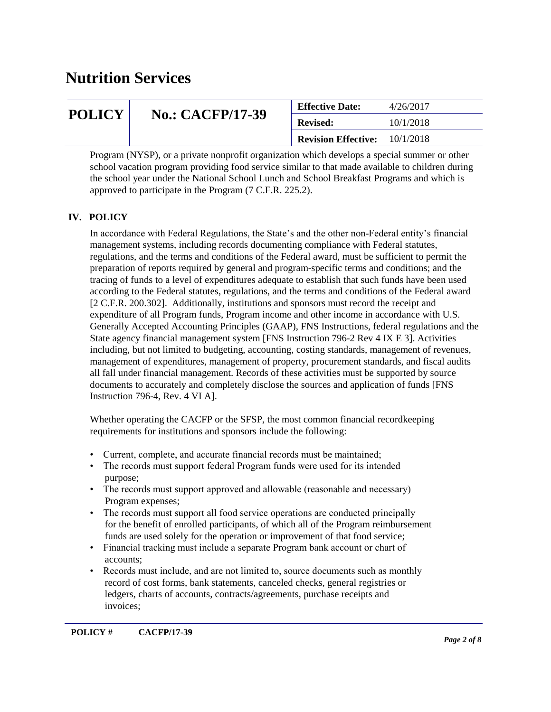| <b>POLICY</b> |                         | <b>Effective Date:</b>     | 4/26/2017 |
|---------------|-------------------------|----------------------------|-----------|
|               | <b>No.: CACFP/17-39</b> | <b>Revised:</b>            | 10/1/2018 |
|               |                         | <b>Revision Effective:</b> | 10/1/2018 |

Program (NYSP), or a private nonprofit organization which develops a special summer or other school vacation program providing food service similar to that made available to children during the school year under the National School Lunch and School Breakfast Programs and which is approved to participate in the Program (7 C.F.R. 225.2).

### **IV. POLICY**

In accordance with Federal Regulations, the State's and the other non-Federal entity's financial management systems, including records documenting compliance with Federal statutes, regulations, and the terms and conditions of the Federal award, must be sufficient to permit the preparation of reports required by general and program-specific terms and conditions; and the tracing of funds to a level of expenditures adequate to establish that such funds have been used according to the Federal statutes, regulations, and the terms and conditions of the Federal award [2 C.F.R. 200.302]. Additionally, institutions and sponsors must record the receipt and expenditure of all Program funds, Program income and other income in accordance with U.S. Generally Accepted Accounting Principles (GAAP), FNS Instructions, federal regulations and the State agency financial management system [FNS Instruction 796-2 Rev 4 IX E 3]. Activities including, but not limited to budgeting, accounting, costing standards, management of revenues, management of expenditures, management of property, procurement standards, and fiscal audits all fall under financial management. Records of these activities must be supported by source documents to accurately and completely disclose the sources and application of funds [FNS Instruction 796-4, Rev. 4 VI A].

Whether operating the CACFP or the SFSP, the most common financial recordkeeping requirements for institutions and sponsors include the following:

- Current, complete, and accurate financial records must be maintained;
- The records must support federal Program funds were used for its intended purpose;
- The records must support approved and allowable (reasonable and necessary) Program expenses;
- The records must support all food service operations are conducted principally for the benefit of enrolled participants, of which all of the Program reimbursement funds are used solely for the operation or improvement of that food service;
- Financial tracking must include a separate Program bank account or chart of accounts;
- Records must include, and are not limited to, source documents such as monthly record of cost forms, bank statements, canceled checks, general registries or ledgers, charts of accounts, contracts/agreements, purchase receipts and invoices;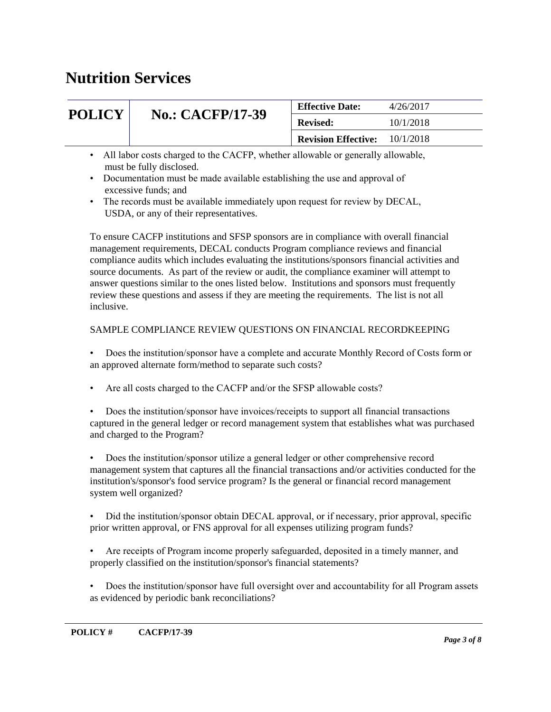|                        |                                                                                                                                                                                                                  | 4/26/2017<br><b>Effective Date:</b> |           |
|------------------------|------------------------------------------------------------------------------------------------------------------------------------------------------------------------------------------------------------------|-------------------------------------|-----------|
| <b>POLICY</b>          | <b>No.: CACFP/17-39</b>                                                                                                                                                                                          | <b>Revised:</b>                     | 10/1/2018 |
|                        |                                                                                                                                                                                                                  | <b>Revision Effective:</b>          | 10/1/2018 |
| $\bullet$<br>$\bullet$ | All labor costs charged to the CACFP, whether allowable or generally allowable,<br>must be fully disclosed.<br>Documentation must be made available establishing the use and approval of<br>excessive funds; and |                                     |           |

• The records must be available immediately upon request for review by DECAL, USDA, or any of their representatives.

To ensure CACFP institutions and SFSP sponsors are in compliance with overall financial management requirements, DECAL conducts Program compliance reviews and financial compliance audits which includes evaluating the institutions/sponsors financial activities and source documents. As part of the review or audit, the compliance examiner will attempt to answer questions similar to the ones listed below. Institutions and sponsors must frequently review these questions and assess if they are meeting the requirements. The list is not all inclusive.

#### SAMPLE COMPLIANCE REVIEW QUESTIONS ON FINANCIAL RECORDKEEPING

• Does the institution/sponsor have a complete and accurate Monthly Record of Costs form or an approved alternate form/method to separate such costs?

- Are all costs charged to the CACFP and/or the SFSP allowable costs?
- Does the institution/sponsor have invoices/receipts to support all financial transactions captured in the general ledger or record management system that establishes what was purchased and charged to the Program?

• Does the institution/sponsor utilize a general ledger or other comprehensive record management system that captures all the financial transactions and/or activities conducted for the institution's/sponsor's food service program? Is the general or financial record management system well organized?

• Did the institution/sponsor obtain DECAL approval, or if necessary, prior approval, specific prior written approval, or FNS approval for all expenses utilizing program funds?

- Are receipts of Program income properly safeguarded, deposited in a timely manner, and properly classified on the institution/sponsor's financial statements?
- Does the institution/sponsor have full oversight over and accountability for all Program assets as evidenced by periodic bank reconciliations?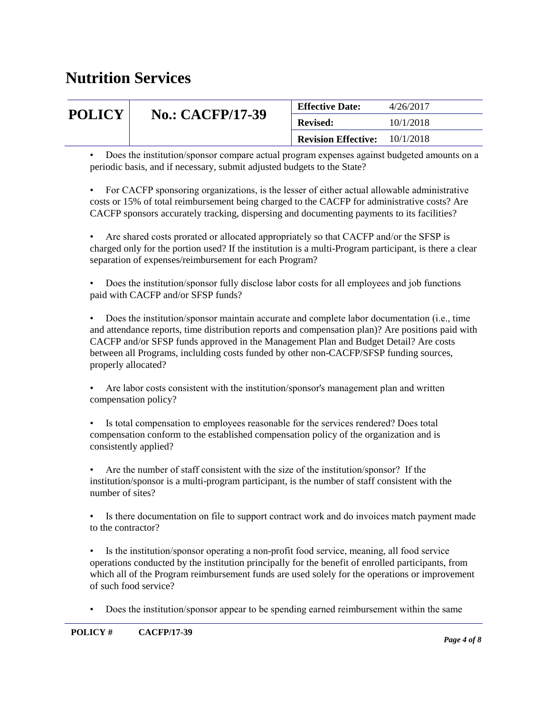| <b>POLICY</b> |                         | <b>Effective Date:</b>     | 4/26/2017 |
|---------------|-------------------------|----------------------------|-----------|
|               | <b>No.: CACFP/17-39</b> | <b>Revised:</b>            | 10/1/2018 |
|               |                         | <b>Revision Effective:</b> | 10/1/2018 |
|               |                         |                            |           |

• Does the institution/sponsor compare actual program expenses against budgeted amounts on a periodic basis, and if necessary, submit adjusted budgets to the State?

• For CACFP sponsoring organizations, is the lesser of either actual allowable administrative costs or 15% of total reimbursement being charged to the CACFP for administrative costs? Are CACFP sponsors accurately tracking, dispersing and documenting payments to its facilities?

• Are shared costs prorated or allocated appropriately so that CACFP and/or the SFSP is charged only for the portion used? If the institution is a multi-Program participant, is there a clear separation of expenses/reimbursement for each Program?

• Does the institution/sponsor fully disclose labor costs for all employees and job functions paid with CACFP and/or SFSP funds?

• Does the institution/sponsor maintain accurate and complete labor documentation (i.e., time and attendance reports, time distribution reports and compensation plan)? Are positions paid with CACFP and/or SFSP funds approved in the Management Plan and Budget Detail? Are costs between all Programs, inclulding costs funded by other non-CACFP/SFSP funding sources, properly allocated?

• Are labor costs consistent with the institution/sponsor's management plan and written compensation policy?

• Is total compensation to employees reasonable for the services rendered? Does total compensation conform to the established compensation policy of the organization and is consistently applied?

• Are the number of staff consistent with the size of the institution/sponsor? If the institution/sponsor is a multi-program participant, is the number of staff consistent with the number of sites?

• Is there documentation on file to support contract work and do invoices match payment made to the contractor?

• Is the institution/sponsor operating a non-profit food service, meaning, all food service operations conducted by the institution principally for the benefit of enrolled participants, from which all of the Program reimbursement funds are used solely for the operations or improvement of such food service?

• Does the institution/sponsor appear to be spending earned reimbursement within the same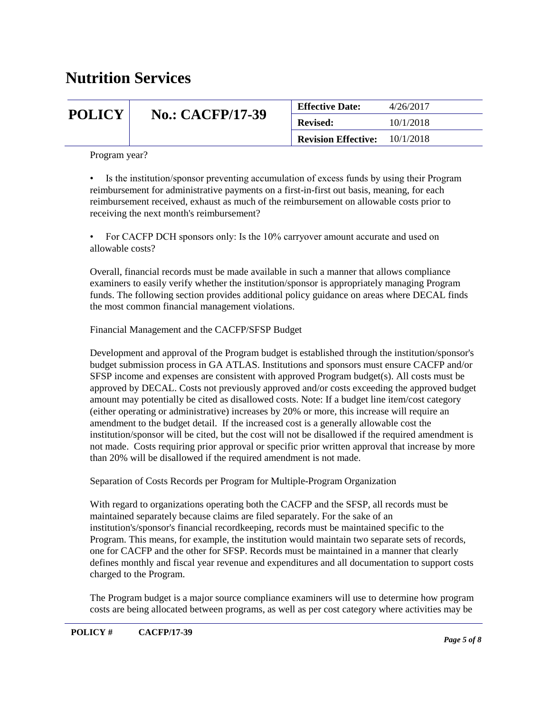| <b>POLICY</b> |                         | <b>Effective Date:</b>     | 4/26/2017 |
|---------------|-------------------------|----------------------------|-----------|
|               | <b>No.: CACFP/17-39</b> | <b>Revised:</b>            | 10/1/2018 |
|               |                         | <b>Revision Effective:</b> | 10/1/2018 |

Program year?

• Is the institution/sponsor preventing accumulation of excess funds by using their Program reimbursement for administrative payments on a first-in-first out basis, meaning, for each reimbursement received, exhaust as much of the reimbursement on allowable costs prior to receiving the next month's reimbursement?

• For CACFP DCH sponsors only: Is the 10% carryover amount accurate and used on allowable costs?

Overall, financial records must be made available in such a manner that allows compliance examiners to easily verify whether the institution/sponsor is appropriately managing Program funds. The following section provides additional policy guidance on areas where DECAL finds the most common financial management violations.

Financial Management and the CACFP/SFSP Budget

Development and approval of the Program budget is established through the institution/sponsor's budget submission process in GA ATLAS. Institutions and sponsors must ensure CACFP and/or SFSP income and expenses are consistent with approved Program budget(s). All costs must be approved by DECAL. Costs not previously approved and/or costs exceeding the approved budget amount may potentially be cited as disallowed costs. Note: If a budget line item/cost category (either operating or administrative) increases by 20% or more, this increase will require an amendment to the budget detail. If the increased cost is a generally allowable cost the institution/sponsor will be cited, but the cost will not be disallowed if the required amendment is not made. Costs requiring prior approval or specific prior written approval that increase by more than 20% will be disallowed if the required amendment is not made.

Separation of Costs Records per Program for Multiple-Program Organization

With regard to organizations operating both the CACFP and the SFSP, all records must be maintained separately because claims are filed separately. For the sake of an institution's/sponsor's financial recordkeeping, records must be maintained specific to the Program. This means, for example, the institution would maintain two separate sets of records, one for CACFP and the other for SFSP. Records must be maintained in a manner that clearly defines monthly and fiscal year revenue and expenditures and all documentation to support costs charged to the Program.

The Program budget is a major source compliance examiners will use to determine how program costs are being allocated between programs, as well as per cost category where activities may be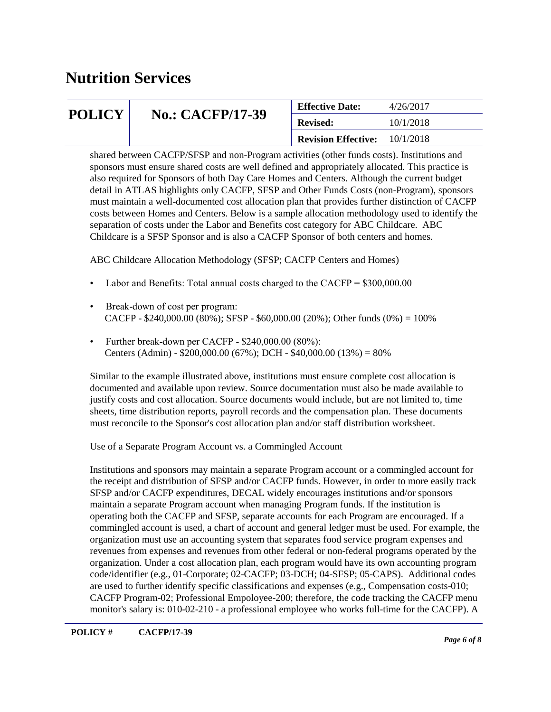| <b>POLICY</b> |                         | <b>Effective Date:</b>     | 4/26/2017 |
|---------------|-------------------------|----------------------------|-----------|
|               | <b>No.: CACFP/17-39</b> | <b>Revised:</b>            | 10/1/2018 |
|               |                         | <b>Revision Effective:</b> | 10/1/2018 |

shared between CACFP/SFSP and non-Program activities (other funds costs). Institutions and sponsors must ensure shared costs are well defined and appropriately allocated. This practice is also required for Sponsors of both Day Care Homes and Centers. Although the current budget detail in ATLAS highlights only CACFP, SFSP and Other Funds Costs (non-Program), sponsors must maintain a well-documented cost allocation plan that provides further distinction of CACFP costs between Homes and Centers. Below is a sample allocation methodology used to identify the separation of costs under the Labor and Benefits cost category for ABC Childcare. ABC Childcare is a SFSP Sponsor and is also a CACFP Sponsor of both centers and homes.

ABC Childcare Allocation Methodology (SFSP; CACFP Centers and Homes)

- Labor and Benefits: Total annual costs charged to the CACFP = \$300,000.00
- Break-down of cost per program: CACFP - \$240,000.00 (80%); SFSP - \$60,000.00 (20%); Other funds (0%) =  $100\%$
- Further break-down per CACFP \$240,000.00 (80%): Centers (Admin) -  $$200,000.00$  (67%); DCH -  $$40,000.00$  (13%) = 80%

Similar to the example illustrated above, institutions must ensure complete cost allocation is documented and available upon review. Source documentation must also be made available to justify costs and cost allocation. Source documents would include, but are not limited to, time sheets, time distribution reports, payroll records and the compensation plan. These documents must reconcile to the Sponsor's cost allocation plan and/or staff distribution worksheet.

Use of a Separate Program Account vs. a Commingled Account

Institutions and sponsors may maintain a separate Program account or a commingled account for the receipt and distribution of SFSP and/or CACFP funds. However, in order to more easily track SFSP and/or CACFP expenditures, DECAL widely encourages institutions and/or sponsors maintain a separate Program account when managing Program funds. If the institution is operating both the CACFP and SFSP, separate accounts for each Program are encouraged. If a commingled account is used, a chart of account and general ledger must be used. For example, the organization must use an accounting system that separates food service program expenses and revenues from expenses and revenues from other federal or non-federal programs operated by the organization. Under a cost allocation plan, each program would have its own accounting program code/identifier (e.g., 01-Corporate; 02-CACFP; 03-DCH; 04-SFSP; 05-CAPS). Additional codes are used to further identify specific classifications and expenses (e.g., Compensation costs-010; CACFP Program-02; Professional Empoloyee-200; therefore, the code tracking the CACFP menu monitor's salary is: 010-02-210 - a professional employee who works full-time for the CACFP). A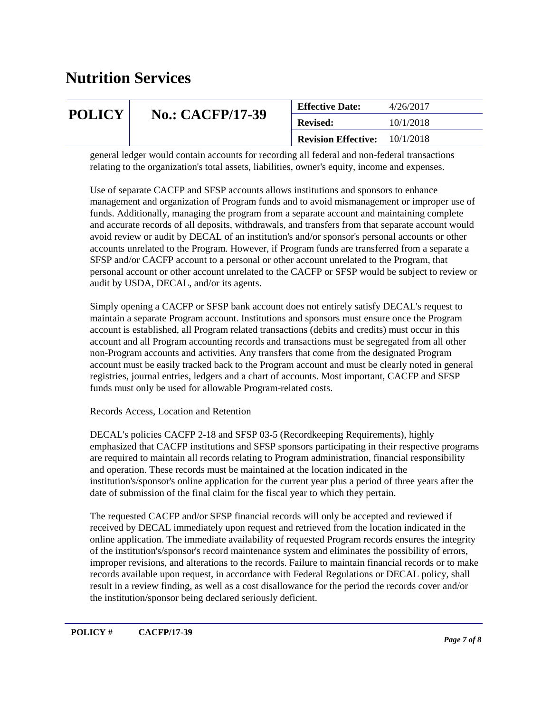| <b>POLICY</b> |                         | <b>Effective Date:</b>     | 4/26/2017 |
|---------------|-------------------------|----------------------------|-----------|
|               | <b>No.: CACFP/17-39</b> | <b>Revised:</b>            | 10/1/2018 |
|               |                         | <b>Revision Effective:</b> | 10/1/2018 |

general ledger would contain accounts for recording all federal and non-federal transactions relating to the organization's total assets, liabilities, owner's equity, income and expenses.

Use of separate CACFP and SFSP accounts allows institutions and sponsors to enhance management and organization of Program funds and to avoid mismanagement or improper use of funds. Additionally, managing the program from a separate account and maintaining complete and accurate records of all deposits, withdrawals, and transfers from that separate account would avoid review or audit by DECAL of an institution's and/or sponsor's personal accounts or other accounts unrelated to the Program. However, if Program funds are transferred from a separate a SFSP and/or CACFP account to a personal or other account unrelated to the Program, that personal account or other account unrelated to the CACFP or SFSP would be subject to review or audit by USDA, DECAL, and/or its agents.

Simply opening a CACFP or SFSP bank account does not entirely satisfy DECAL's request to maintain a separate Program account. Institutions and sponsors must ensure once the Program account is established, all Program related transactions (debits and credits) must occur in this account and all Program accounting records and transactions must be segregated from all other non-Program accounts and activities. Any transfers that come from the designated Program account must be easily tracked back to the Program account and must be clearly noted in general registries, journal entries, ledgers and a chart of accounts. Most important, CACFP and SFSP funds must only be used for allowable Program-related costs.

Records Access, Location and Retention

DECAL's policies CACFP 2-18 and SFSP 03-5 (Recordkeeping Requirements), highly emphasized that CACFP institutions and SFSP sponsors participating in their respective programs are required to maintain all records relating to Program administration, financial responsibility and operation. These records must be maintained at the location indicated in the institution's/sponsor's online application for the current year plus a period of three years after the date of submission of the final claim for the fiscal year to which they pertain.

The requested CACFP and/or SFSP financial records will only be accepted and reviewed if received by DECAL immediately upon request and retrieved from the location indicated in the online application. The immediate availability of requested Program records ensures the integrity of the institution's/sponsor's record maintenance system and eliminates the possibility of errors, improper revisions, and alterations to the records. Failure to maintain financial records or to make records available upon request, in accordance with Federal Regulations or DECAL policy, shall result in a review finding, as well as a cost disallowance for the period the records cover and/or the institution/sponsor being declared seriously deficient.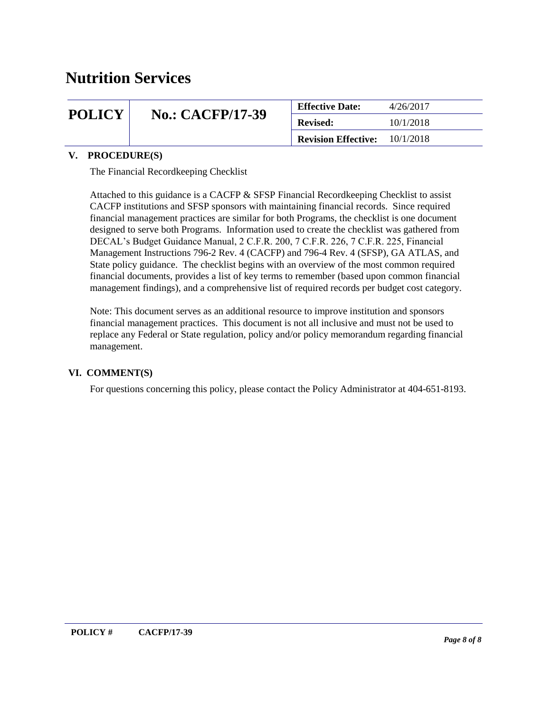| <b>POLICY</b> |                         | <b>Effective Date:</b>     | 4/26/2017 |
|---------------|-------------------------|----------------------------|-----------|
|               | <b>No.: CACFP/17-39</b> | <b>Revised:</b>            | 10/1/2018 |
|               |                         | <b>Revision Effective:</b> | 10/1/2018 |

#### **V. PROCEDURE(S)**

The Financial Recordkeeping Checklist

Attached to this guidance is a CACFP & SFSP Financial Recordkeeping Checklist to assist CACFP institutions and SFSP sponsors with maintaining financial records. Since required financial management practices are similar for both Programs, the checklist is one document designed to serve both Programs. Information used to create the checklist was gathered from DECAL's Budget Guidance Manual, 2 C.F.R. 200, 7 C.F.R. 226, 7 C.F.R. 225, Financial Management Instructions 796-2 Rev. 4 (CACFP) and 796-4 Rev. 4 (SFSP), GA ATLAS, and State policy guidance. The checklist begins with an overview of the most common required financial documents, provides a list of key terms to remember (based upon common financial management findings), and a comprehensive list of required records per budget cost category.

Note: This document serves as an additional resource to improve institution and sponsors financial management practices. This document is not all inclusive and must not be used to replace any Federal or State regulation, policy and/or policy memorandum regarding financial management.

#### **VI. COMMENT(S)**

For questions concerning this policy, please contact the Policy Administrator at 404-651-8193.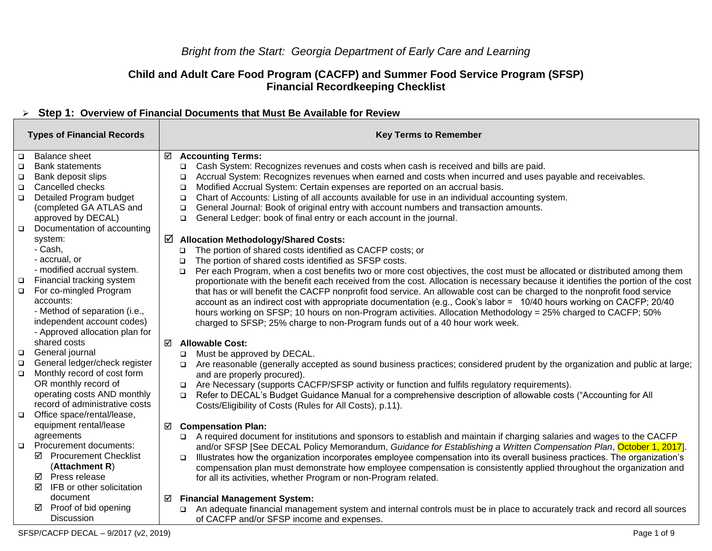### **Child and Adult Care Food Program (CACFP) and Summer Food Service Program (SFSP) Financial Recordkeeping Checklist**

### ➢ **Step 1: Overview of Financial Documents that Must Be Available for Review**

| <b>Types of Financial Records</b> |                                |   | <b>Key Terms to Remember</b>                                                                                                          |
|-----------------------------------|--------------------------------|---|---------------------------------------------------------------------------------------------------------------------------------------|
| $\Box$                            | <b>Balance sheet</b>           | ☑ | <b>Accounting Terms:</b>                                                                                                              |
| □                                 | <b>Bank statements</b>         |   | Cash System: Recognizes revenues and costs when cash is received and bills are paid.<br>❏                                             |
| $\Box$                            | Bank deposit slips             |   | Accrual System: Recognizes revenues when earned and costs when incurred and uses payable and receivables.<br>$\Box$                   |
| $\Box$                            | Cancelled checks               |   | Modified Accrual System: Certain expenses are reported on an accrual basis.<br>$\Box$                                                 |
| $\Box$                            | Detailed Program budget        |   | Chart of Accounts: Listing of all accounts available for use in an individual accounting system.<br>$\Box$                            |
|                                   | (completed GA ATLAS and        |   | General Journal: Book of original entry with account numbers and transaction amounts.<br>$\Box$                                       |
|                                   | approved by DECAL)             |   | General Ledger: book of final entry or each account in the journal.<br>$\Box$                                                         |
| $\Box$                            | Documentation of accounting    |   |                                                                                                                                       |
|                                   | system:                        | ☑ | <b>Allocation Methodology/Shared Costs:</b>                                                                                           |
|                                   | - Cash,                        |   | The portion of shared costs identified as CACFP costs; or<br>$\Box$                                                                   |
|                                   | - accrual, or                  |   | The portion of shared costs identified as SFSP costs.<br>$\Box$                                                                       |
|                                   | - modified accrual system.     |   | Per each Program, when a cost benefits two or more cost objectives, the cost must be allocated or distributed among them<br>$\Box$    |
| $\Box$                            | Financial tracking system      |   | proportionate with the benefit each received from the cost. Allocation is necessary because it identifies the portion of the cost     |
| $\Box$                            | For co-mingled Program         |   | that has or will benefit the CACFP nonprofit food service. An allowable cost can be charged to the nonprofit food service             |
|                                   | accounts:                      |   | account as an indirect cost with appropriate documentation (e.g., Cook's labor = 10/40 hours working on CACFP; 20/40                  |
|                                   | - Method of separation (i.e.,  |   | hours working on SFSP; 10 hours on non-Program activities. Allocation Methodology = 25% charged to CACFP; 50%                         |
|                                   | independent account codes)     |   | charged to SFSP; 25% charge to non-Program funds out of a 40 hour work week.                                                          |
|                                   | - Approved allocation plan for |   |                                                                                                                                       |
|                                   | shared costs                   | ☑ | <b>Allowable Cost:</b>                                                                                                                |
| $\Box$                            | General journal                |   | Must be approved by DECAL.<br>$\Box$                                                                                                  |
| $\Box$                            | General ledger/check register  |   | Are reasonable (generally accepted as sound business practices; considered prudent by the organization and public at large;<br>$\Box$ |
| $\Box$                            | Monthly record of cost form    |   | and are properly procured).                                                                                                           |
|                                   | OR monthly record of           |   | Are Necessary (supports CACFP/SFSP activity or function and fulfils regulatory requirements).                                         |
|                                   | operating costs AND monthly    |   | Refer to DECAL's Budget Guidance Manual for a comprehensive description of allowable costs ("Accounting for All<br>$\Box$             |
|                                   | record of administrative costs |   | Costs/Eligibility of Costs (Rules for All Costs), p.11).                                                                              |
| $\Box$                            | Office space/rental/lease,     |   |                                                                                                                                       |
|                                   | equipment rental/lease         | ☑ | <b>Compensation Plan:</b>                                                                                                             |
|                                   | agreements                     |   | A required document for institutions and sponsors to establish and maintain if charging salaries and wages to the CACFP               |
| $\Box$                            | <b>Procurement documents:</b>  |   | and/or SFSP [See DECAL Policy Memorandum, Guidance for Establishing a Written Compensation Plan, October 1, 2017].                    |
|                                   | ☑ Procurement Checklist        |   | Illustrates how the organization incorporates employee compensation into its overall business practices. The organization's<br>$\Box$ |
|                                   | (Attachment R)                 |   | compensation plan must demonstrate how employee compensation is consistently applied throughout the organization and                  |
|                                   | Press release<br>☑             |   | for all its activities, whether Program or non-Program related.                                                                       |
|                                   | IFB or other solicitation<br>☑ |   |                                                                                                                                       |
|                                   | document                       | ☑ | <b>Financial Management System:</b>                                                                                                   |
|                                   | Proof of bid opening<br>☑      |   | An adequate financial management system and internal controls must be in place to accurately track and record all sources<br>$\Box$   |
|                                   | <b>Discussion</b>              |   | of CACFP and/or SFSP income and expenses.                                                                                             |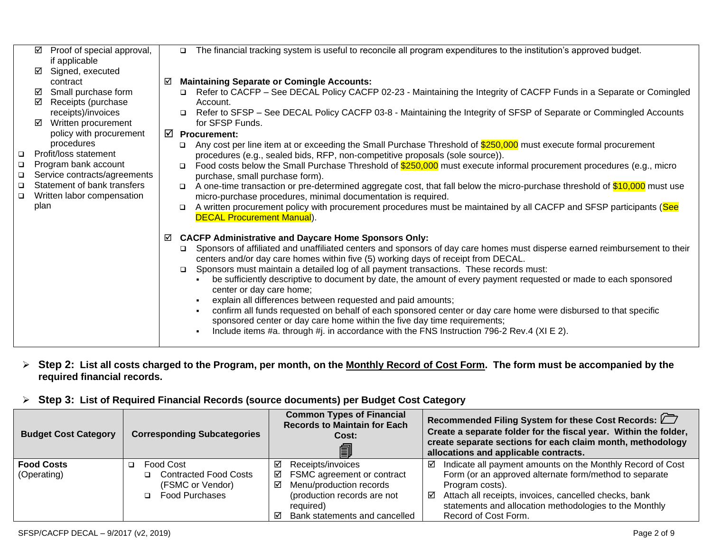|        | ☑    | Proof of special approval,   |   | The financial tracking system is useful to reconcile all program expenditures to the institution's approved budget.<br>$\Box$        |
|--------|------|------------------------------|---|--------------------------------------------------------------------------------------------------------------------------------------|
|        |      | if applicable                |   |                                                                                                                                      |
|        | ☑    | Signed, executed             |   |                                                                                                                                      |
|        |      | contract                     | ☑ | <b>Maintaining Separate or Comingle Accounts:</b>                                                                                    |
|        | ☑    | Small purchase form          |   | Refer to CACFP – See DECAL Policy CACFP 02-23 - Maintaining the Integrity of CACFP Funds in a Separate or Comingled                  |
|        | ☑    | Receipts (purchase           |   | Account.                                                                                                                             |
|        |      | receipts)/invoices           |   | Refer to SFSP – See DECAL Policy CACFP 03-8 - Maintaining the Integrity of SFSP of Separate or Commingled Accounts<br>$\Box$         |
|        |      | Written procurement          |   | for SFSP Funds.                                                                                                                      |
|        |      | policy with procurement      |   | $\boxtimes$ Procurement:                                                                                                             |
|        |      | procedures                   |   | Any cost per line item at or exceeding the Small Purchase Threshold of \$250,000 must execute formal procurement<br>$\Box$           |
| $\Box$ |      | Profit/loss statement        |   | procedures (e.g., sealed bids, RFP, non-competitive proposals (sole source)).                                                        |
| $\Box$ |      | Program bank account         |   | Food costs below the Small Purchase Threshold of \$250,000 must execute informal procurement procedures (e.g., micro<br>$\Box$       |
| $\Box$ |      | Service contracts/agreements |   | purchase, small purchase form).                                                                                                      |
| $\Box$ |      | Statement of bank transfers  |   | A one-time transaction or pre-determined aggregate cost, that fall below the micro-purchase threshold of \$10,000 must use<br>$\Box$ |
| $\Box$ |      | Written labor compensation   |   | micro-purchase procedures, minimal documentation is required.                                                                        |
|        | plan |                              |   | A written procurement policy with procurement procedures must be maintained by all CACFP and SFSP participants (See<br>$\Box$        |
|        |      |                              |   | <b>DECAL Procurement Manual).</b>                                                                                                    |
|        |      |                              | ☑ | <b>CACFP Administrative and Daycare Home Sponsors Only:</b>                                                                          |
|        |      |                              |   | Sponsors of affiliated and unaffiliated centers and sponsors of day care homes must disperse earned reimbursement to their<br>□      |
|        |      |                              |   | centers and/or day care homes within five (5) working days of receipt from DECAL.                                                    |
|        |      |                              |   | Sponsors must maintain a detailed log of all payment transactions. These records must:                                               |
|        |      |                              |   | be sufficiently descriptive to document by date, the amount of every payment requested or made to each sponsored                     |
|        |      |                              |   | center or day care home;                                                                                                             |
|        |      |                              |   | explain all differences between requested and paid amounts;                                                                          |
|        |      |                              |   | confirm all funds requested on behalf of each sponsored center or day care home were disbursed to that specific                      |
|        |      |                              |   | sponsored center or day care home within the five day time requirements;                                                             |
|        |      |                              |   | Include items #a. through #j. in accordance with the FNS Instruction 796-2 Rev.4 (XI E 2).                                           |
|        |      |                              |   |                                                                                                                                      |

### ➢ **Step 2: List all costs charged to the Program, per month, on the Monthly Record of Cost Form. The form must be accompanied by the required financial records.**

### ➢ **Step 3: List of Required Financial Records (source documents) per Budget Cost Category**

| <b>Budget Cost Category</b>      | <b>Corresponding Subcategories</b>                                                                 | <b>Common Types of Financial</b><br><b>Records to Maintain for Each</b><br>Cost:<br>圎                                                                             | Recommended Filing System for these Cost Records: $\Box$<br>Create a separate folder for the fiscal year. Within the folder,<br>create separate sections for each claim month, methodology<br>allocations and applicable contracts.                                                          |  |
|----------------------------------|----------------------------------------------------------------------------------------------------|-------------------------------------------------------------------------------------------------------------------------------------------------------------------|----------------------------------------------------------------------------------------------------------------------------------------------------------------------------------------------------------------------------------------------------------------------------------------------|--|
| <b>Food Costs</b><br>(Operating) | <b>Food Cost</b><br>$\Box$<br><b>Contracted Food Costs</b><br>(FSMC or Vendor)<br>□ Food Purchases | Receipts/invoices<br>FSMC agreement or contract<br>☑<br>Menu/production records<br>☑<br>(production records are not<br>required)<br>Bank statements and cancelled | Indicate all payment amounts on the Monthly Record of Cost<br>☑<br>Form (or an approved alternate form/method to separate<br>Program costs).<br>Attach all receipts, invoices, cancelled checks, bank<br>☑<br>statements and allocation methodologies to the Monthly<br>Record of Cost Form. |  |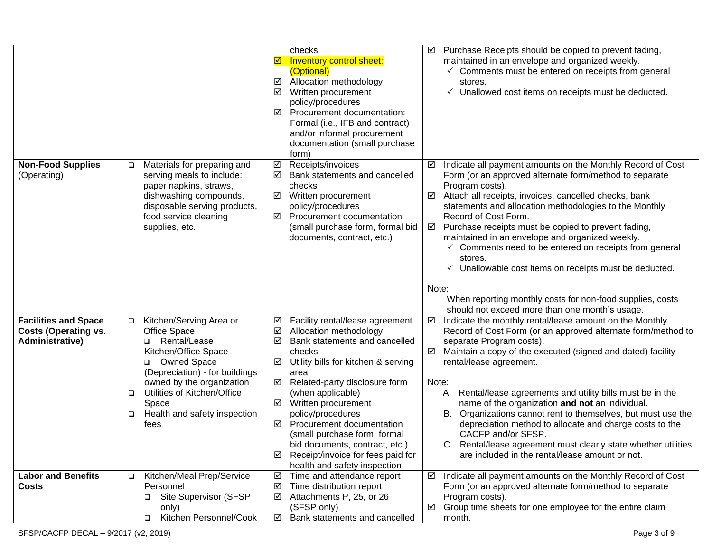|                                                                               |                                                                                                                                                                                                                                                                                      | checks<br>Inventory control sheet:<br>☑<br>(Optional)<br>Allocation methodology<br>☑<br>☑<br>Written procurement<br>policy/procedures<br>☑<br>Procurement documentation:<br>Formal (i.e., IFB and contract)<br>and/or informal procurement<br>documentation (small purchase<br>form)                                                                                                                                                                              | Purchase Receipts should be copied to prevent fading,<br>maintained in an envelope and organized weekly.<br>$\checkmark$ Comments must be entered on receipts from general<br>stores.<br>Unallowed cost items on receipts must be deducted.<br>✓                                                                                                                                                                                                                                                                                                                                                                                                                       |
|-------------------------------------------------------------------------------|--------------------------------------------------------------------------------------------------------------------------------------------------------------------------------------------------------------------------------------------------------------------------------------|-------------------------------------------------------------------------------------------------------------------------------------------------------------------------------------------------------------------------------------------------------------------------------------------------------------------------------------------------------------------------------------------------------------------------------------------------------------------|------------------------------------------------------------------------------------------------------------------------------------------------------------------------------------------------------------------------------------------------------------------------------------------------------------------------------------------------------------------------------------------------------------------------------------------------------------------------------------------------------------------------------------------------------------------------------------------------------------------------------------------------------------------------|
| <b>Non-Food Supplies</b><br>(Operating)                                       | Materials for preparing and<br>$\Box$<br>serving meals to include:<br>paper napkins, straws,<br>dishwashing compounds,<br>disposable serving products,<br>food service cleaning<br>supplies, etc.                                                                                    | Receipts/invoices<br>☑<br>☑<br>Bank statements and cancelled<br>checks<br>☑<br>Written procurement<br>policy/procedures<br>☑<br>Procurement documentation<br>(small purchase form, formal bid<br>documents, contract, etc.)                                                                                                                                                                                                                                       | Indicate all payment amounts on the Monthly Record of Cost<br>Form (or an approved alternate form/method to separate<br>Program costs).<br>Attach all receipts, invoices, cancelled checks, bank<br>statements and allocation methodologies to the Monthly<br>Record of Cost Form.<br>Purchase receipts must be copied to prevent fading,<br>☑<br>maintained in an envelope and organized weekly.<br>$\checkmark$ Comments need to be entered on receipts from general<br>stores.<br>Unallowable cost items on receipts must be deducted.<br>✓<br>Note:<br>When reporting monthly costs for non-food supplies, costs<br>should not exceed more than one month's usage. |
| <b>Facilities and Space</b><br><b>Costs (Operating vs.</b><br>Administrative) | □ Kitchen/Serving Area or<br>Office Space<br>Rental/Lease<br>□<br>Kitchen/Office Space<br><b>Owned Space</b><br>▫<br>(Depreciation) - for buildings<br>owned by the organization<br>Utilities of Kitchen/Office<br>$\Box$<br>Space<br>Health and safety inspection<br>$\Box$<br>fees | Facility rental/lease agreement<br>☑<br>☑<br>Allocation methodology<br>☑<br>Bank statements and cancelled<br>checks<br>☑<br>Utility bills for kitchen & serving<br>area<br>☑<br>Related-party disclosure form<br>(when applicable)<br>☑<br>Written procurement<br>policy/procedures<br>Procurement documentation<br>☑<br>(small purchase form, formal<br>bid documents, contract, etc.)<br>☑<br>Receipt/invoice for fees paid for<br>health and safety inspection | Indicate the monthly rental/lease amount on the Monthly<br>☑<br>Record of Cost Form (or an approved alternate form/method to<br>separate Program costs).<br>Maintain a copy of the executed (signed and dated) facility<br>rental/lease agreement.<br>Note:<br>Rental/lease agreements and utility bills must be in the<br>А.<br>name of the organization and not an individual.<br>Organizations cannot rent to themselves, but must use the<br>В.<br>depreciation method to allocate and charge costs to the<br>CACFP and/or SFSP.<br>Rental/lease agreement must clearly state whether utilities<br>C.<br>are included in the rental/lease amount or not.           |
| <b>Labor and Benefits</b><br><b>Costs</b>                                     | Kitchen/Meal Prep/Service<br>$\Box$<br>Personnel<br>Site Supervisor (SFSP<br>only)<br>Kitchen Personnel/Cook<br>$\Box$                                                                                                                                                               | ☑<br>Time and attendance report<br>Time distribution report<br>☑<br>Attachments P, 25, or 26<br>☑<br>(SFSP only)<br>Bank statements and cancelled<br>☑                                                                                                                                                                                                                                                                                                            | Indicate all payment amounts on the Monthly Record of Cost<br>☑<br>Form (or an approved alternate form/method to separate<br>Program costs).<br>Group time sheets for one employee for the entire claim<br>month.                                                                                                                                                                                                                                                                                                                                                                                                                                                      |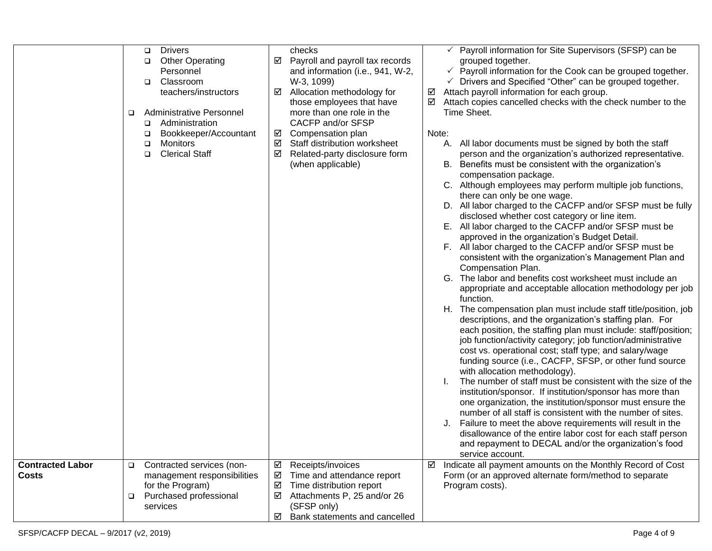|                                  | □           | □<br>□<br>❏<br>❏<br>□ | <b>Drivers</b><br><b>Other Operating</b><br>Personnel<br>Classroom<br>teachers/instructors<br><b>Administrative Personnel</b><br>Administration<br>Bookkeeper/Accountant<br>Monitors<br><b>Clerical Staff</b> | ☑<br>☑<br>☑<br>☑<br>☑ | checks<br>Payroll and payroll tax records<br>and information (i.e., 941, W-2,<br>W-3, 1099)<br>Allocation methodology for<br>those employees that have<br>more than one role in the<br>CACFP and/or SFSP<br>Compensation plan<br>Staff distribution worksheet<br>Related-party disclosure form<br>(when applicable) | ☑<br>☑<br>Note: | $\checkmark$ Payroll information for Site Supervisors (SFSP) can be<br>grouped together.<br>$\checkmark$ Payroll information for the Cook can be grouped together.<br>$\checkmark$ Drivers and Specified "Other" can be grouped together.<br>Attach payroll information for each group.<br>Attach copies cancelled checks with the check number to the<br>Time Sheet.<br>A. All labor documents must be signed by both the staff<br>person and the organization's authorized representative.<br>B. Benefits must be consistent with the organization's<br>compensation package.<br>C. Although employees may perform multiple job functions,<br>there can only be one wage.<br>D. All labor charged to the CACFP and/or SFSP must be fully<br>disclosed whether cost category or line item.<br>E. All labor charged to the CACFP and/or SFSP must be<br>approved in the organization's Budget Detail.<br>F. All labor charged to the CACFP and/or SFSP must be<br>consistent with the organization's Management Plan and<br>Compensation Plan.<br>G. The labor and benefits cost worksheet must include an<br>appropriate and acceptable allocation methodology per job<br>function.<br>H. The compensation plan must include staff title/position, job<br>descriptions, and the organization's staffing plan. For<br>each position, the staffing plan must include: staff/position;<br>job function/activity category; job function/administrative<br>cost vs. operational cost; staff type; and salary/wage<br>funding source (i.e., CACFP, SFSP, or other fund source<br>with allocation methodology).<br>The number of staff must be consistent with the size of the |
|----------------------------------|-------------|-----------------------|---------------------------------------------------------------------------------------------------------------------------------------------------------------------------------------------------------------|-----------------------|---------------------------------------------------------------------------------------------------------------------------------------------------------------------------------------------------------------------------------------------------------------------------------------------------------------------|-----------------|--------------------------------------------------------------------------------------------------------------------------------------------------------------------------------------------------------------------------------------------------------------------------------------------------------------------------------------------------------------------------------------------------------------------------------------------------------------------------------------------------------------------------------------------------------------------------------------------------------------------------------------------------------------------------------------------------------------------------------------------------------------------------------------------------------------------------------------------------------------------------------------------------------------------------------------------------------------------------------------------------------------------------------------------------------------------------------------------------------------------------------------------------------------------------------------------------------------------------------------------------------------------------------------------------------------------------------------------------------------------------------------------------------------------------------------------------------------------------------------------------------------------------------------------------------------------------------------------------------------------------------------------------------------------------|
|                                  |             |                       |                                                                                                                                                                                                               |                       |                                                                                                                                                                                                                                                                                                                     |                 | institution/sponsor. If institution/sponsor has more than<br>one organization, the institution/sponsor must ensure the<br>number of all staff is consistent with the number of sites.<br>Failure to meet the above requirements will result in the<br>disallowance of the entire labor cost for each staff person<br>and repayment to DECAL and/or the organization's food<br>service account.                                                                                                                                                                                                                                                                                                                                                                                                                                                                                                                                                                                                                                                                                                                                                                                                                                                                                                                                                                                                                                                                                                                                                                                                                                                                           |
| <b>Contracted Labor</b><br>Costs | □<br>$\Box$ | services              | Contracted services (non-<br>management responsibilities<br>for the Program)<br>Purchased professional                                                                                                        | ☑<br>☑<br>☑<br>☑<br>☑ | Receipts/invoices<br>Time and attendance report<br>Time distribution report<br>Attachments P, 25 and/or 26<br>(SFSP only)<br>Bank statements and cancelled                                                                                                                                                          | ☑               | Indicate all payment amounts on the Monthly Record of Cost<br>Form (or an approved alternate form/method to separate<br>Program costs).                                                                                                                                                                                                                                                                                                                                                                                                                                                                                                                                                                                                                                                                                                                                                                                                                                                                                                                                                                                                                                                                                                                                                                                                                                                                                                                                                                                                                                                                                                                                  |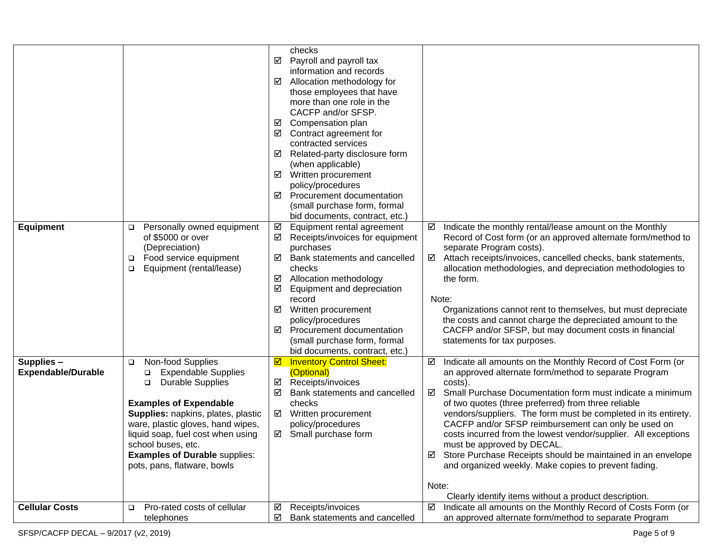|                                         |                                                                                                                                                                                                                                                                                                                                                   | checks<br>☑<br>Payroll and payroll tax<br>information and records<br>☑<br>Allocation methodology for<br>those employees that have<br>more than one role in the<br>CACFP and/or SFSP.<br>Compensation plan<br>☑<br>Contract agreement for<br>☑<br>contracted services<br>Related-party disclosure form<br>☑<br>(when applicable)<br>☑<br>Written procurement<br>policy/procedures<br>Procurement documentation<br>☑<br>(small purchase form, formal<br>bid documents, contract, etc.) |                                                                                                                                                                                                                                                                                                                                                                                                                                                                                                                                                                                                                                                                                   |
|-----------------------------------------|---------------------------------------------------------------------------------------------------------------------------------------------------------------------------------------------------------------------------------------------------------------------------------------------------------------------------------------------------|--------------------------------------------------------------------------------------------------------------------------------------------------------------------------------------------------------------------------------------------------------------------------------------------------------------------------------------------------------------------------------------------------------------------------------------------------------------------------------------|-----------------------------------------------------------------------------------------------------------------------------------------------------------------------------------------------------------------------------------------------------------------------------------------------------------------------------------------------------------------------------------------------------------------------------------------------------------------------------------------------------------------------------------------------------------------------------------------------------------------------------------------------------------------------------------|
| <b>Equipment</b>                        | Personally owned equipment<br>$\Box$<br>of \$5000 or over<br>(Depreciation)<br>Food service equipment<br>❏<br>Equipment (rental/lease)<br>$\Box$                                                                                                                                                                                                  | Equipment rental agreement<br>☑<br>☑<br>Receipts/invoices for equipment<br>purchases<br>Bank statements and cancelled<br>☑<br>checks<br>Allocation methodology<br>☑<br>☑<br>Equipment and depreciation<br>record<br>☑<br>Written procurement<br>policy/procedures<br>Procurement documentation<br>☑<br>(small purchase form, formal<br>bid documents, contract, etc.)                                                                                                                | Indicate the monthly rental/lease amount on the Monthly<br>☑<br>Record of Cost form (or an approved alternate form/method to<br>separate Program costs).<br>Attach receipts/invoices, cancelled checks, bank statements,<br>☑<br>allocation methodologies, and depreciation methodologies to<br>the form.<br>Note:<br>Organizations cannot rent to themselves, but must depreciate<br>the costs and cannot charge the depreciated amount to the<br>CACFP and/or SFSP, but may document costs in financial<br>statements for tax purposes.                                                                                                                                         |
| Supplies -<br><b>Expendable/Durable</b> | Non-food Supplies<br>$\Box$<br><b>Expendable Supplies</b><br>□<br><b>Durable Supplies</b><br>$\Box$<br><b>Examples of Expendable</b><br>Supplies: napkins, plates, plastic<br>ware, plastic gloves, hand wipes,<br>liquid soap, fuel cost when using<br>school buses, etc.<br><b>Examples of Durable supplies:</b><br>pots, pans, flatware, bowls | <b>Inventory Control Sheet:</b><br>☑<br>(Optional)<br>Receipts/invoices<br>☑<br>Bank statements and cancelled<br>☑<br>checks<br>☑ Written procurement<br>policy/procedures<br>☑ Small purchase form                                                                                                                                                                                                                                                                                  | Indicate all amounts on the Monthly Record of Cost Form (or<br>☑<br>an approved alternate form/method to separate Program<br>costs).<br>Small Purchase Documentation form must indicate a minimum<br>☑<br>of two quotes (three preferred) from three reliable<br>vendors/suppliers. The form must be completed in its entirety.<br>CACFP and/or SFSP reimbursement can only be used on<br>costs incurred from the lowest vendor/supplier. All exceptions<br>must be approved by DECAL.<br>☑ Store Purchase Receipts should be maintained in an envelope<br>and organized weekly. Make copies to prevent fading.<br>Note:<br>Clearly identify items without a product description. |
| <b>Cellular Costs</b>                   | Pro-rated costs of cellular<br>$\Box$<br>telephones                                                                                                                                                                                                                                                                                               | Receipts/invoices<br>☑<br>☑<br>Bank statements and cancelled                                                                                                                                                                                                                                                                                                                                                                                                                         | Indicate all amounts on the Monthly Record of Costs Form (or<br>☑<br>an approved alternate form/method to separate Program                                                                                                                                                                                                                                                                                                                                                                                                                                                                                                                                                        |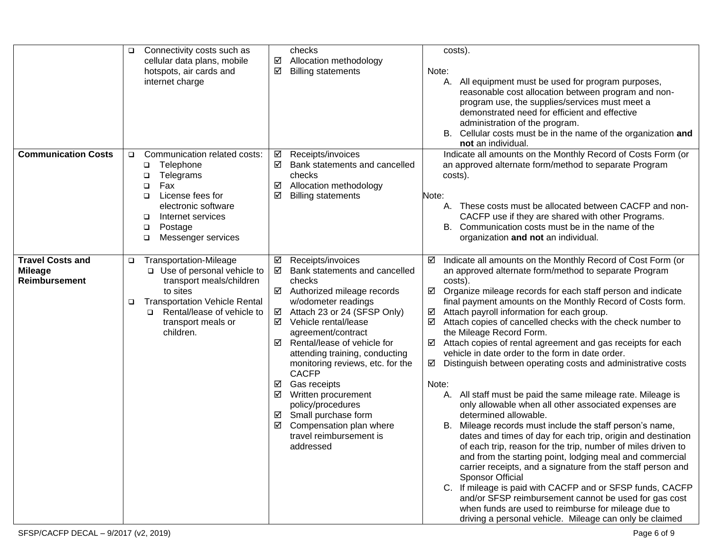|                                                                   | Connectivity costs such as<br>checks<br>$\Box$<br>cellular data plans, mobile<br>☑<br>Allocation methodology<br>hotspots, air cards and<br>☑<br><b>Billing statements</b><br>internet charge                                                                                                                                                                                                                                                                                                     | costs).<br>Note:<br>All equipment must be used for program purposes,<br>А.<br>reasonable cost allocation between program and non-<br>program use, the supplies/services must meet a<br>demonstrated need for efficient and effective<br>administration of the program.<br>B. Cellular costs must be in the name of the organization and<br>not an individual.                                                                                                                                                                                                                                                                                                                                                                                                                                                                                                                                                                                                                                                                                                                                                                                                                                                                                                                                                                                                                                                                                                                                                                                                                                             |
|-------------------------------------------------------------------|--------------------------------------------------------------------------------------------------------------------------------------------------------------------------------------------------------------------------------------------------------------------------------------------------------------------------------------------------------------------------------------------------------------------------------------------------------------------------------------------------|-----------------------------------------------------------------------------------------------------------------------------------------------------------------------------------------------------------------------------------------------------------------------------------------------------------------------------------------------------------------------------------------------------------------------------------------------------------------------------------------------------------------------------------------------------------------------------------------------------------------------------------------------------------------------------------------------------------------------------------------------------------------------------------------------------------------------------------------------------------------------------------------------------------------------------------------------------------------------------------------------------------------------------------------------------------------------------------------------------------------------------------------------------------------------------------------------------------------------------------------------------------------------------------------------------------------------------------------------------------------------------------------------------------------------------------------------------------------------------------------------------------------------------------------------------------------------------------------------------------|
| <b>Communication Costs</b>                                        | Communication related costs:<br>Receipts/invoices<br>☑<br>$\Box$<br>Telephone<br>☑<br>$\Box$<br>checks<br>Telegrams<br>❏<br>Allocation methodology<br>Fax<br>☑<br>◘<br>License fees for<br>☑<br><b>Billing statements</b><br>□<br>electronic software<br>Internet services<br>□<br>Postage<br>□<br>Messenger services<br>□                                                                                                                                                                       | Indicate all amounts on the Monthly Record of Costs Form (or<br>an approved alternate form/method to separate Program<br>Bank statements and cancelled<br>costs).<br>Note:<br>A. These costs must be allocated between CACFP and non-<br>CACFP use if they are shared with other Programs.<br>Communication costs must be in the name of the<br>В.<br>organization and not an individual.                                                                                                                                                                                                                                                                                                                                                                                                                                                                                                                                                                                                                                                                                                                                                                                                                                                                                                                                                                                                                                                                                                                                                                                                                 |
| <b>Travel Costs and</b><br><b>Mileage</b><br><b>Reimbursement</b> | <b>Transportation-Mileage</b><br>☑ Receipts/invoices<br>$\Box$<br>□ Use of personal vehicle to<br>transport meals/children<br>checks<br>to sites<br><b>Transportation Vehicle Rental</b><br>w/odometer readings<br>$\Box$<br>Rental/lease of vehicle to<br>☑<br>□<br>☑<br>transport meals or<br>Vehicle rental/lease<br>children.<br>agreement/contract<br>☑<br><b>CACFP</b><br>☑<br>Gas receipts<br>☑<br>Written procurement<br>policy/procedures<br>Small purchase form<br>☑<br>☑<br>addressed | Indicate all amounts on the Monthly Record of Cost Form (or<br>☑ Bank statements and cancelled<br>an approved alternate form/method to separate Program<br>costs).<br>Organize mileage records for each staff person and indicate<br>☑ Authorized mileage records<br>final payment amounts on the Monthly Record of Costs form.<br>Attach 23 or 24 (SFSP Only)<br>Attach payroll information for each group.<br>☑<br>Attach copies of cancelled checks with the check number to<br>the Mileage Record Form.<br>Rental/lease of vehicle for<br>Attach copies of rental agreement and gas receipts for each<br>attending training, conducting<br>vehicle in date order to the form in date order.<br>monitoring reviews, etc. for the<br>Distinguish between operating costs and administrative costs<br>Note:<br>A. All staff must be paid the same mileage rate. Mileage is<br>only allowable when all other associated expenses are<br>determined allowable.<br>Compensation plan where<br>Mileage records must include the staff person's name,<br>В.<br>dates and times of day for each trip, origin and destination<br>travel reimbursement is<br>of each trip, reason for the trip, number of miles driven to<br>and from the starting point, lodging meal and commercial<br>carrier receipts, and a signature from the staff person and<br>Sponsor Official<br>C. If mileage is paid with CACFP and or SFSP funds, CACFP<br>and/or SFSP reimbursement cannot be used for gas cost<br>when funds are used to reimburse for mileage due to<br>driving a personal vehicle. Mileage can only be claimed |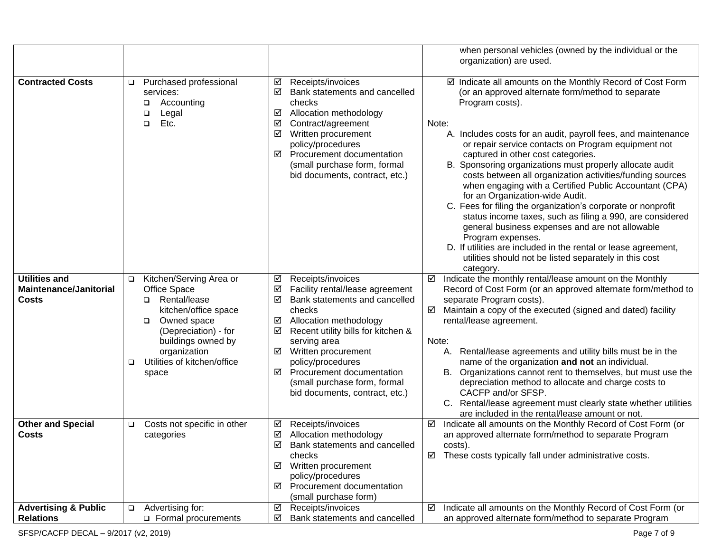|                                                                |                                                                                                                                                                                                                               |                                                                                                                                                                                                                                                                                                                                                               | when personal vehicles (owned by the individual or the<br>organization) are used.                                                                                                                                                                                                                                                                                                                                                                                                                                                                                                                                                                                                                                                                                                                                                                                            |
|----------------------------------------------------------------|-------------------------------------------------------------------------------------------------------------------------------------------------------------------------------------------------------------------------------|---------------------------------------------------------------------------------------------------------------------------------------------------------------------------------------------------------------------------------------------------------------------------------------------------------------------------------------------------------------|------------------------------------------------------------------------------------------------------------------------------------------------------------------------------------------------------------------------------------------------------------------------------------------------------------------------------------------------------------------------------------------------------------------------------------------------------------------------------------------------------------------------------------------------------------------------------------------------------------------------------------------------------------------------------------------------------------------------------------------------------------------------------------------------------------------------------------------------------------------------------|
| <b>Contracted Costs</b>                                        | Purchased professional<br>$\Box$<br>services:<br>Accounting<br>❏<br>Legal<br>◻<br>Etc.<br>◻                                                                                                                                   | Receipts/invoices<br>☑<br>☑<br>Bank statements and cancelled<br>checks<br>☑<br>Allocation methodology<br>☑<br>Contract/agreement<br>☑<br>Written procurement<br>policy/procedures<br>☑<br>Procurement documentation<br>(small purchase form, formal<br>bid documents, contract, etc.)                                                                         | ☑ Indicate all amounts on the Monthly Record of Cost Form<br>(or an approved alternate form/method to separate<br>Program costs).<br>Note:<br>A. Includes costs for an audit, payroll fees, and maintenance<br>or repair service contacts on Program equipment not<br>captured in other cost categories.<br>B. Sponsoring organizations must properly allocate audit<br>costs between all organization activities/funding sources<br>when engaging with a Certified Public Accountant (CPA)<br>for an Organization-wide Audit.<br>C. Fees for filing the organization's corporate or nonprofit<br>status income taxes, such as filing a 990, are considered<br>general business expenses and are not allowable<br>Program expenses.<br>D. If utilities are included in the rental or lease agreement,<br>utilities should not be listed separately in this cost<br>category. |
| <b>Utilities and</b><br><b>Maintenance/Janitorial</b><br>Costs | Kitchen/Serving Area or<br>$\Box$<br>Office Space<br>Rental/lease<br>▫<br>kitchen/office space<br>Owned space<br>□<br>(Depreciation) - for<br>buildings owned by<br>organization<br>Utilities of kitchen/office<br>□<br>space | Receipts/invoices<br>☑<br>☑<br>Facility rental/lease agreement<br>☑<br>Bank statements and cancelled<br>checks<br>Allocation methodology<br>☑<br>☑<br>Recent utility bills for kitchen &<br>serving area<br>☑<br>Written procurement<br>policy/procedures<br>☑<br>Procurement documentation<br>(small purchase form, formal<br>bid documents, contract, etc.) | Indicate the monthly rental/lease amount on the Monthly<br>☑<br>Record of Cost Form (or an approved alternate form/method to<br>separate Program costs).<br>Maintain a copy of the executed (signed and dated) facility<br>☑<br>rental/lease agreement.<br>Note:<br>Rental/lease agreements and utility bills must be in the<br>А.<br>name of the organization and not an individual.<br>Organizations cannot rent to themselves, but must use the<br>В.<br>depreciation method to allocate and charge costs to<br>CACFP and/or SFSP.<br>Rental/lease agreement must clearly state whether utilities<br>are included in the rental/lease amount or not.                                                                                                                                                                                                                      |
| <b>Other and Special</b><br>Costs                              | Costs not specific in other<br>$\Box$<br>categories                                                                                                                                                                           | Receipts/invoices<br>☑<br>☑<br>Allocation methodology<br>$\Delta$<br>Bank statements and cancelled<br>checks<br>☑ Written procurement<br>policy/procedures<br>Procurement documentation<br>☑<br>(small purchase form)                                                                                                                                         | Indicate all amounts on the Monthly Record of Cost Form (or<br>☑<br>an approved alternate form/method to separate Program<br>costs).<br>These costs typically fall under administrative costs.<br>☑                                                                                                                                                                                                                                                                                                                                                                                                                                                                                                                                                                                                                                                                          |
| <b>Advertising &amp; Public</b><br><b>Relations</b>            | Advertising for:<br>$\Box$<br>Formal procurements                                                                                                                                                                             | Receipts/invoices<br>☑<br>Bank statements and cancelled<br>☑                                                                                                                                                                                                                                                                                                  | Indicate all amounts on the Monthly Record of Cost Form (or<br>☑<br>an approved alternate form/method to separate Program                                                                                                                                                                                                                                                                                                                                                                                                                                                                                                                                                                                                                                                                                                                                                    |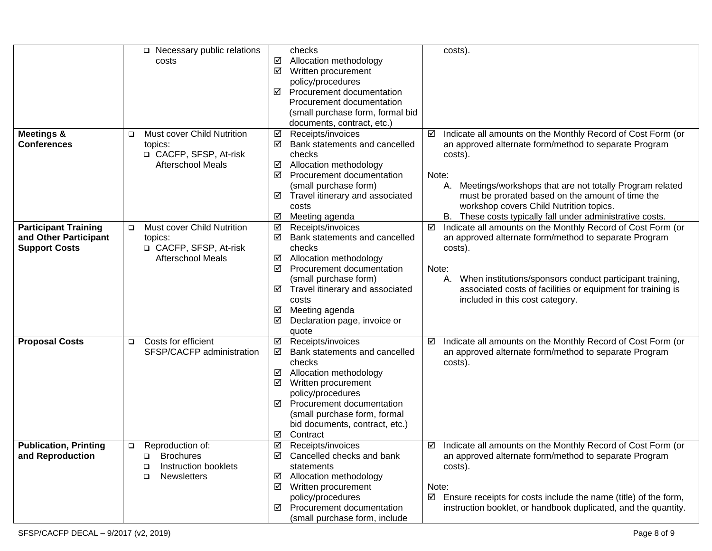|                              |        | $\Box$ Necessary public relations |   | checks                           |       | costs).                                                         |
|------------------------------|--------|-----------------------------------|---|----------------------------------|-------|-----------------------------------------------------------------|
|                              |        | costs                             | ☑ | Allocation methodology           |       |                                                                 |
|                              |        |                                   | ☑ | Written procurement              |       |                                                                 |
|                              |        |                                   |   | policy/procedures                |       |                                                                 |
|                              |        |                                   | ☑ | Procurement documentation        |       |                                                                 |
|                              |        |                                   |   | Procurement documentation        |       |                                                                 |
|                              |        |                                   |   | (small purchase form, formal bid |       |                                                                 |
|                              |        |                                   |   | documents, contract, etc.)       |       |                                                                 |
| <b>Meetings &amp;</b>        |        | Must cover Child Nutrition        | ☑ | Receipts/invoices                | ☑     | Indicate all amounts on the Monthly Record of Cost Form (or     |
| <b>Conferences</b>           |        | topics:                           | ☑ | Bank statements and cancelled    |       | an approved alternate form/method to separate Program           |
|                              |        | □ CACFP, SFSP, At-risk            |   | checks                           |       | costs).                                                         |
|                              |        | <b>Afterschool Meals</b>          | ☑ | Allocation methodology           |       |                                                                 |
|                              |        |                                   | ☑ | Procurement documentation        | Note: |                                                                 |
|                              |        |                                   |   | (small purchase form)            |       | Meetings/workshops that are not totally Program related<br>А.   |
|                              |        |                                   | ☑ | Travel itinerary and associated  |       | must be prorated based on the amount of time the                |
|                              |        |                                   |   | costs                            |       | workshop covers Child Nutrition topics.                         |
|                              |        |                                   | ☑ | Meeting agenda                   |       | B. These costs typically fall under administrative costs.       |
| <b>Participant Training</b>  | $\Box$ | Must cover Child Nutrition        | ☑ | Receipts/invoices                | ☑     | Indicate all amounts on the Monthly Record of Cost Form (or     |
| and Other Participant        |        | topics:                           | ☑ | Bank statements and cancelled    |       | an approved alternate form/method to separate Program           |
| <b>Support Costs</b>         |        | □ CACFP, SFSP, At-risk            |   | checks                           |       | costs).                                                         |
|                              |        | <b>Afterschool Meals</b>          | ☑ | Allocation methodology           |       |                                                                 |
|                              |        |                                   | ☑ | Procurement documentation        | Note: |                                                                 |
|                              |        |                                   |   | (small purchase form)            |       | When institutions/sponsors conduct participant training,<br>А.  |
|                              |        |                                   | ☑ | Travel itinerary and associated  |       | associated costs of facilities or equipment for training is     |
|                              |        |                                   |   | costs                            |       | included in this cost category.                                 |
|                              |        |                                   | ☑ | Meeting agenda                   |       |                                                                 |
|                              |        |                                   | ☑ | Declaration page, invoice or     |       |                                                                 |
|                              |        |                                   |   | quote                            |       |                                                                 |
| <b>Proposal Costs</b>        | $\Box$ | Costs for efficient               | ☑ | Receipts/invoices                |       | Indicate all amounts on the Monthly Record of Cost Form (or     |
|                              |        | SFSP/CACFP administration         | ☑ | Bank statements and cancelled    |       | an approved alternate form/method to separate Program           |
|                              |        |                                   |   | checks                           |       |                                                                 |
|                              |        |                                   |   |                                  |       | costs).                                                         |
|                              |        |                                   | ☑ | Allocation methodology           |       |                                                                 |
|                              |        |                                   | ☑ | Written procurement              |       |                                                                 |
|                              |        |                                   |   | policy/procedures                |       |                                                                 |
|                              |        |                                   | ☑ | Procurement documentation        |       |                                                                 |
|                              |        |                                   |   | (small purchase form, formal     |       |                                                                 |
|                              |        |                                   |   | bid documents, contract, etc.)   |       |                                                                 |
|                              |        |                                   | ☑ | Contract                         |       |                                                                 |
| <b>Publication, Printing</b> | $\Box$ | Reproduction of:                  | ☑ | Receipts/invoices                | ☑     | Indicate all amounts on the Monthly Record of Cost Form (or     |
| and Reproduction             |        | <b>Brochures</b><br>□             | ☑ | Cancelled checks and bank        |       | an approved alternate form/method to separate Program           |
|                              |        | Instruction booklets<br>□         |   | statements                       |       | costs).                                                         |
|                              |        | <b>Newsletters</b><br>□           | M | Allocation methodology           |       |                                                                 |
|                              |        |                                   | ☑ | Written procurement              | Note: |                                                                 |
|                              |        |                                   |   | policy/procedures                | ☑     | Ensure receipts for costs include the name (title) of the form, |
|                              |        |                                   | ☑ | Procurement documentation        |       | instruction booklet, or handbook duplicated, and the quantity.  |
|                              |        |                                   |   | (small purchase form, include    |       |                                                                 |